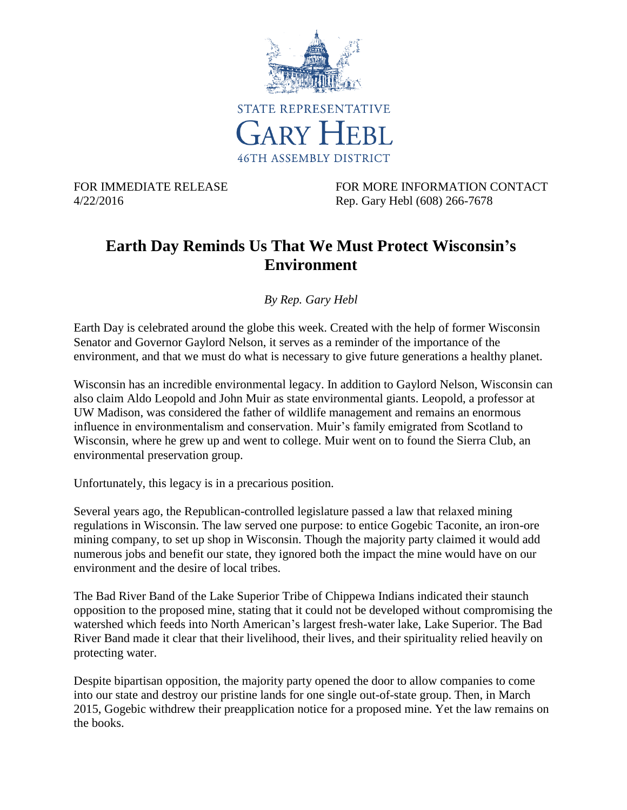

FOR IMMEDIATE RELEASE FOR MORE INFORMATION CONTACT 4/22/2016 Rep. Gary Hebl (608) 266-7678

## **Earth Day Reminds Us That We Must Protect Wisconsin's Environment**

*By Rep. Gary Hebl*

Earth Day is celebrated around the globe this week. Created with the help of former Wisconsin Senator and Governor Gaylord Nelson, it serves as a reminder of the importance of the environment, and that we must do what is necessary to give future generations a healthy planet.

Wisconsin has an incredible environmental legacy. In addition to Gaylord Nelson, Wisconsin can also claim Aldo Leopold and John Muir as state environmental giants. Leopold, a professor at UW Madison, was considered the father of wildlife management and remains an enormous influence in environmentalism and conservation. Muir's family emigrated from Scotland to Wisconsin, where he grew up and went to college. Muir went on to found the Sierra Club, an environmental preservation group.

Unfortunately, this legacy is in a precarious position.

Several years ago, the Republican-controlled legislature passed a law that relaxed mining regulations in Wisconsin. The law served one purpose: to entice Gogebic Taconite, an iron-ore mining company, to set up shop in Wisconsin. Though the majority party claimed it would add numerous jobs and benefit our state, they ignored both the impact the mine would have on our environment and the desire of local tribes.

The Bad River Band of the Lake Superior Tribe of Chippewa Indians indicated their staunch opposition to the proposed mine, stating that it could not be developed without compromising the watershed which feeds into North American's largest fresh-water lake, Lake Superior. The Bad River Band made it clear that their livelihood, their lives, and their spirituality relied heavily on protecting water.

Despite bipartisan opposition, the majority party opened the door to allow companies to come into our state and destroy our pristine lands for one single out-of-state group. Then, in March 2015, Gogebic withdrew their preapplication notice for a proposed mine. Yet the law remains on the books.